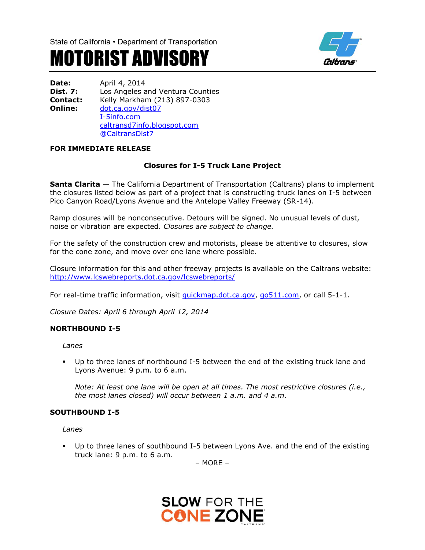

# MOTORIST ADVISORY

| <b>Date:</b>    | April 4, 2014                    |
|-----------------|----------------------------------|
| Dist. 7:        | Los Angeles and Ventura Counties |
| <b>Contact:</b> | Kelly Markham (213) 897-0303     |
| Online:         | dot.ca.gov/dist07                |
|                 | I-5info.com                      |
|                 | caltransd7info.blogspot.com      |
|                 | @CaltransDist7                   |

## **FOR IMMEDIATE RELEASE**

## **Closures for I-5 Truck Lane Project**

**Santa Clarita** — The California Department of Transportation (Caltrans) plans to implement the closures listed below as part of a project that is constructing truck lanes on I-5 between Pico Canyon Road/Lyons Avenue and the Antelope Valley Freeway (SR-14).

Ramp closures will be nonconsecutive. Detours will be signed. No unusual levels of dust, noise or vibration are expected. *Closures are subject to change.*

For the safety of the construction crew and motorists, please be attentive to closures, slow for the cone zone, and move over one lane where possible.

Closure information for this and other freeway projects is available on the Caltrans website: <http://www.lcswebreports.dot.ca.gov/lcswebreports/>

For real-time traffic information, visit [quickmap.dot.ca.gov,](file:///C:\Users\s137346\Desktop\In%20Process\I-5\2332A%20Truck%20Lanes\Closures\quickmap.dot.ca.gov) [go511.com,](file:///C:\Users\s137346\Desktop\In%20Process\I-5\2332A%20Truck%20Lanes\Closures\go511.com) or call 5-1-1.

*Closure Dates: April 6 through April 12, 2014*

#### **NORTHBOUND I-5**

*Lanes*

 Up to three lanes of northbound I-5 between the end of the existing truck lane and Lyons Avenue: 9 p.m. to 6 a.m.

*Note: At least one lane will be open at all times. The most restrictive closures (i.e., the most lanes closed) will occur between 1 a.m. and 4 a.m.*

#### **SOUTHBOUND I-5**

*Lanes*

 Up to three lanes of southbound I-5 between Lyons Ave. and the end of the existing truck lane: 9 p.m. to 6 a.m.

– MORE –